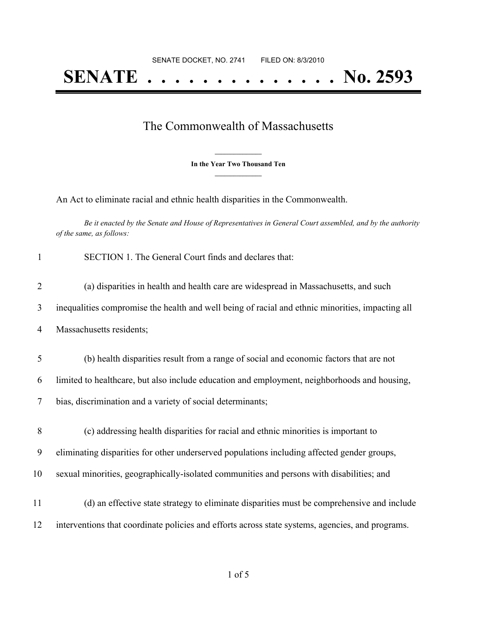## The Commonwealth of Massachusetts

**\_\_\_\_\_\_\_\_\_\_\_\_\_\_\_ In the Year Two Thousand Ten \_\_\_\_\_\_\_\_\_\_\_\_\_\_\_**

An Act to eliminate racial and ethnic health disparities in the Commonwealth.

Be it enacted by the Senate and House of Representatives in General Court assembled, and by the authority *of the same, as follows:*

| $\mathbf{1}$   | SECTION 1. The General Court finds and declares that:                                            |
|----------------|--------------------------------------------------------------------------------------------------|
| $\overline{2}$ | (a) disparities in health and health care are widespread in Massachusetts, and such              |
| 3              | inequalities compromise the health and well being of racial and ethnic minorities, impacting all |
| 4              | Massachusetts residents;                                                                         |
| 5              | (b) health disparities result from a range of social and economic factors that are not           |
| 6              | limited to healthcare, but also include education and employment, neighborhoods and housing,     |
| 7              | bias, discrimination and a variety of social determinants;                                       |
| 8              | (c) addressing health disparities for racial and ethnic minorities is important to               |
| 9              | eliminating disparities for other underserved populations including affected gender groups,      |
| 10             | sexual minorities, geographically-isolated communities and persons with disabilities; and        |
| 11             | (d) an effective state strategy to eliminate disparities must be comprehensive and include       |
| 12             | interventions that coordinate policies and efforts across state systems, agencies, and programs. |
|                |                                                                                                  |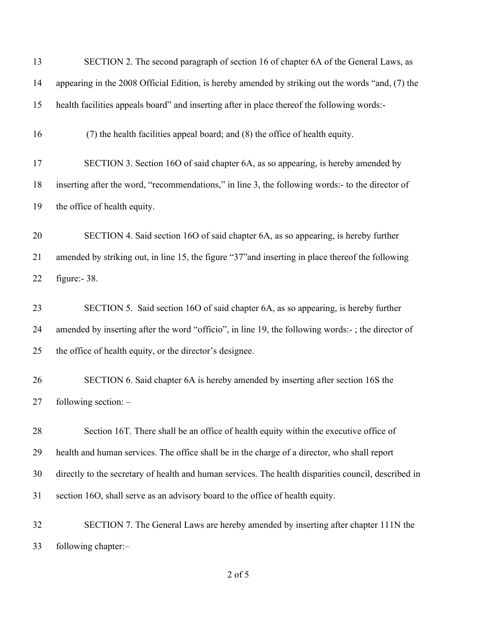| 13 | SECTION 2. The second paragraph of section 16 of chapter 6A of the General Laws, as                  |
|----|------------------------------------------------------------------------------------------------------|
| 14 | appearing in the 2008 Official Edition, is hereby amended by striking out the words "and, (7) the    |
| 15 | health facilities appeals board" and inserting after in place thereof the following words:-          |
| 16 | (7) the health facilities appeal board; and (8) the office of health equity.                         |
| 17 | SECTION 3. Section 16O of said chapter 6A, as so appearing, is hereby amended by                     |
| 18 | inserting after the word, "recommendations," in line 3, the following words:- to the director of     |
| 19 | the office of health equity.                                                                         |
| 20 | SECTION 4. Said section 16O of said chapter 6A, as so appearing, is hereby further                   |
| 21 | amended by striking out, in line 15, the figure "37" and inserting in place thereof the following    |
| 22 | figure: $-38$ .                                                                                      |
| 23 | SECTION 5. Said section 16O of said chapter 6A, as so appearing, is hereby further                   |
| 24 | amended by inserting after the word "officio", in line 19, the following words:-; the director of    |
| 25 | the office of health equity, or the director's designee.                                             |
| 26 | SECTION 6. Said chapter 6A is hereby amended by inserting after section 16S the                      |
| 27 | following section: -                                                                                 |
| 28 | Section 16T. There shall be an office of health equity within the executive office of                |
| 29 | health and human services. The office shall be in the charge of a director, who shall report         |
| 30 | directly to the secretary of health and human services. The health disparities council, described in |
| 31 | section 16O, shall serve as an advisory board to the office of health equity.                        |
| 32 | SECTION 7. The General Laws are hereby amended by inserting after chapter 111N the                   |
| 33 | following chapter:-                                                                                  |

of 5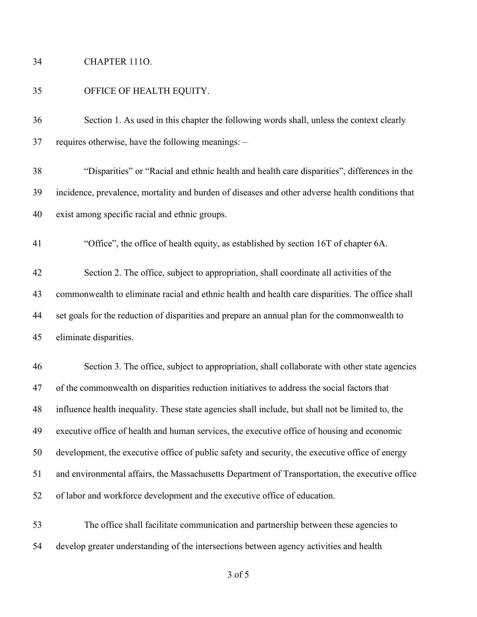## CHAPTER 111O.

## OFFICE OF HEALTH EQUITY.

 Section 1. As used in this chapter the following words shall, unless the context clearly requires otherwise, have the following meanings: –

 "Disparities" or "Racial and ethnic health and health care disparities", differences in the incidence, prevalence, mortality and burden of diseases and other adverse health conditions that exist among specific racial and ethnic groups.

"Office", the office of health equity, as established by section 16T of chapter 6A.

 Section 2. The office, subject to appropriation, shall coordinate all activities of the commonwealth to eliminate racial and ethnic health and health care disparities. The office shall set goals for the reduction of disparities and prepare an annual plan for the commonwealth to eliminate disparities.

 Section 3. The office, subject to appropriation, shall collaborate with other state agencies of the commonwealth on disparities reduction initiatives to address the social factors that influence health inequality. These state agencies shall include, but shall not be limited to, the executive office of health and human services, the executive office of housing and economic development, the executive office of public safety and security, the executive office of energy and environmental affairs, the Massachusetts Department of Transportation, the executive office of labor and workforce development and the executive office of education.

 The office shall facilitate communication and partnership between these agencies to develop greater understanding of the intersections between agency activities and health

of 5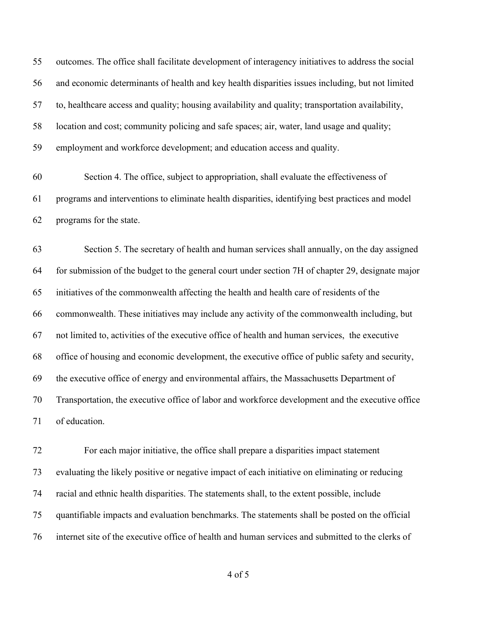outcomes. The office shall facilitate development of interagency initiatives to address the social and economic determinants of health and key health disparities issues including, but not limited to, healthcare access and quality; housing availability and quality; transportation availability, location and cost; community policing and safe spaces; air, water, land usage and quality; employment and workforce development; and education access and quality.

 Section 4. The office, subject to appropriation, shall evaluate the effectiveness of programs and interventions to eliminate health disparities, identifying best practices and model programs for the state.

 Section 5. The secretary of health and human services shall annually, on the day assigned for submission of the budget to the general court under section 7H of chapter 29, designate major initiatives of the commonwealth affecting the health and health care of residents of the commonwealth. These initiatives may include any activity of the commonwealth including, but not limited to, activities of the executive office of health and human services, the executive office of housing and economic development, the executive office of public safety and security, the executive office of energy and environmental affairs, the Massachusetts Department of Transportation, the executive office of labor and workforce development and the executive office of education.

 For each major initiative, the office shall prepare a disparities impact statement evaluating the likely positive or negative impact of each initiative on eliminating or reducing racial and ethnic health disparities. The statements shall, to the extent possible, include quantifiable impacts and evaluation benchmarks. The statements shall be posted on the official internet site of the executive office of health and human services and submitted to the clerks of

of 5